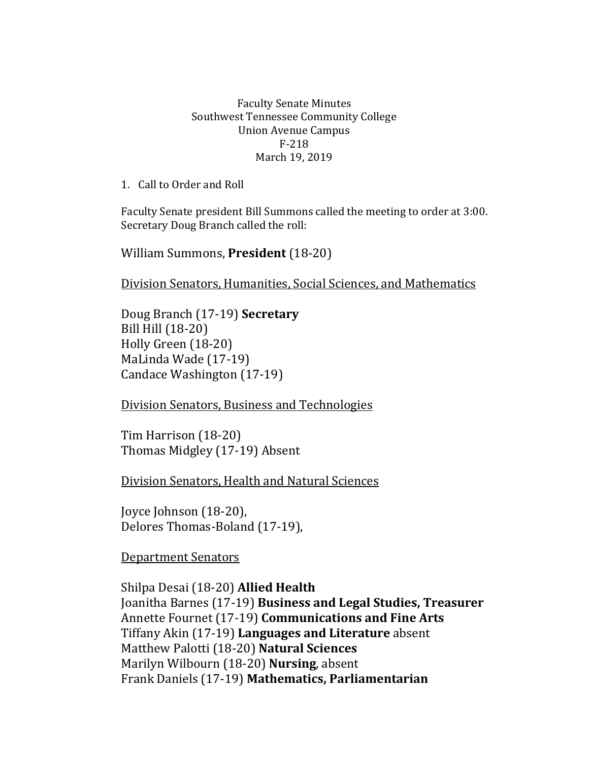## Faculty Senate Minutes Southwest Tennessee Community College Union Avenue Campus F-218 March 19, 2019

1. Call to Order and Roll

Faculty Senate president Bill Summons called the meeting to order at 3:00. Secretary Doug Branch called the roll:

William Summons, **President** (18-20)

Division Senators, Humanities, Social Sciences, and Mathematics

Doug Branch (17-19) **Secretary** Bill Hill (18-20) Holly Green (18-20) MaLinda Wade (17-19) Candace Washington (17-19)

Division Senators, Business and Technologies

Tim Harrison (18-20) Thomas Midgley (17-19) Absent

Division Senators, Health and Natural Sciences

Joyce Johnson (18-20), Delores Thomas-Boland (17-19),

Department Senators

Shilpa Desai (18-20) **Allied Health** Joanitha Barnes (17-19) **Business and Legal Studies, Treasurer**  Annette Fournet (17-19) **Communications and Fine Arts** Tiffany Akin (17-19) **Languages and Literature** absent Matthew Palotti (18-20) **Natural Sciences** Marilyn Wilbourn (18-20) **Nursing**, absent Frank Daniels (17-19) **Mathematics, Parliamentarian**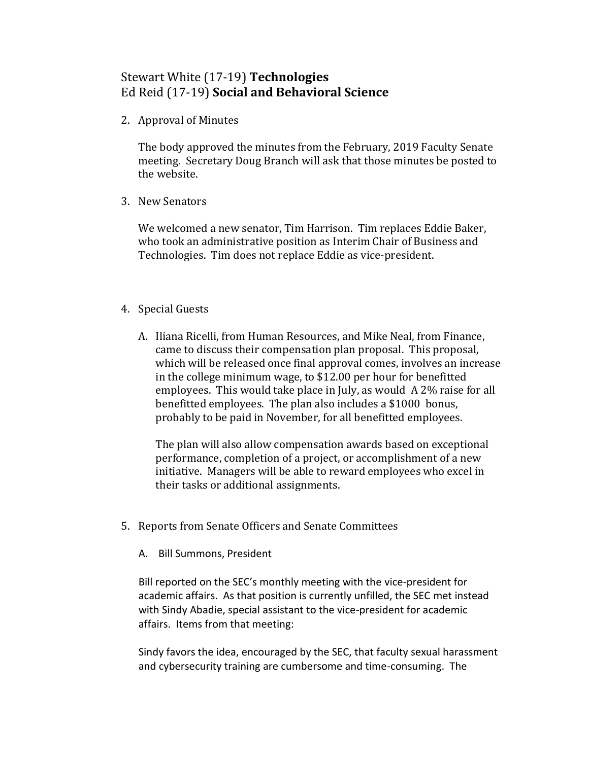## Stewart White (17-19) **Technologies** Ed Reid (17-19) **Social and Behavioral Science**

2. Approval of Minutes

The body approved the minutes from the February, 2019 Faculty Senate meeting. Secretary Doug Branch will ask that those minutes be posted to the website.

3. New Senators

We welcomed a new senator, Tim Harrison. Tim replaces Eddie Baker, who took an administrative position as Interim Chair of Business and Technologies. Tim does not replace Eddie as vice-president.

## 4. Special Guests

A. Iliana Ricelli, from Human Resources, and Mike Neal, from Finance, came to discuss their compensation plan proposal. This proposal, which will be released once final approval comes, involves an increase in the college minimum wage, to \$12.00 per hour for benefitted employees. This would take place in July, as would A 2% raise for all benefitted employees. The plan also includes a \$1000 bonus, probably to be paid in November, for all benefitted employees.

The plan will also allow compensation awards based on exceptional performance, completion of a project, or accomplishment of a new initiative. Managers will be able to reward employees who excel in their tasks or additional assignments.

- 5. Reports from Senate Officers and Senate Committees
	- A. Bill Summons, President

Bill reported on the SEC's monthly meeting with the vice-president for academic affairs. As that position is currently unfilled, the SEC met instead with Sindy Abadie, special assistant to the vice-president for academic affairs. Items from that meeting:

Sindy favors the idea, encouraged by the SEC, that faculty sexual harassment and cybersecurity training are cumbersome and time-consuming. The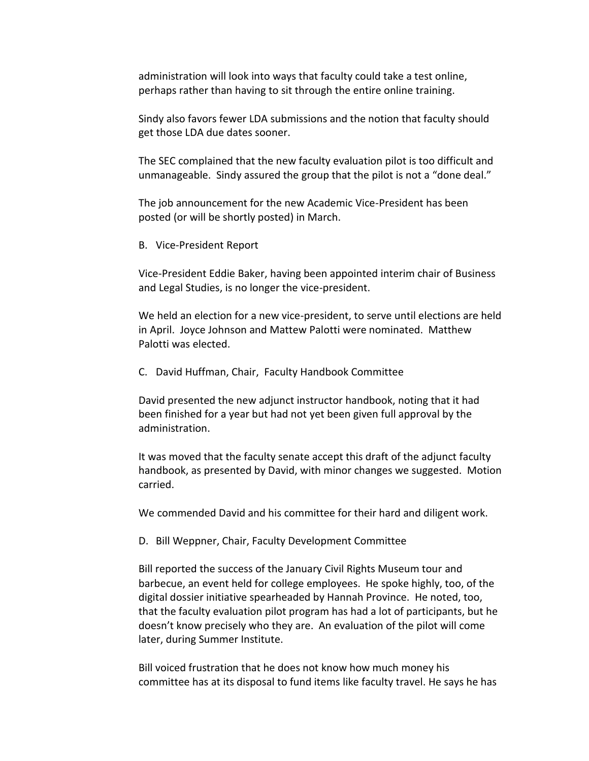administration will look into ways that faculty could take a test online, perhaps rather than having to sit through the entire online training.

Sindy also favors fewer LDA submissions and the notion that faculty should get those LDA due dates sooner.

The SEC complained that the new faculty evaluation pilot is too difficult and unmanageable. Sindy assured the group that the pilot is not a "done deal."

The job announcement for the new Academic Vice-President has been posted (or will be shortly posted) in March.

B. Vice-President Report

Vice-President Eddie Baker, having been appointed interim chair of Business and Legal Studies, is no longer the vice-president.

We held an election for a new vice-president, to serve until elections are held in April. Joyce Johnson and Mattew Palotti were nominated. Matthew Palotti was elected.

C. David Huffman, Chair, Faculty Handbook Committee

David presented the new adjunct instructor handbook, noting that it had been finished for a year but had not yet been given full approval by the administration.

It was moved that the faculty senate accept this draft of the adjunct faculty handbook, as presented by David, with minor changes we suggested. Motion carried.

We commended David and his committee for their hard and diligent work.

D. Bill Weppner, Chair, Faculty Development Committee

Bill reported the success of the January Civil Rights Museum tour and barbecue, an event held for college employees. He spoke highly, too, of the digital dossier initiative spearheaded by Hannah Province. He noted, too, that the faculty evaluation pilot program has had a lot of participants, but he doesn't know precisely who they are. An evaluation of the pilot will come later, during Summer Institute.

Bill voiced frustration that he does not know how much money his committee has at its disposal to fund items like faculty travel. He says he has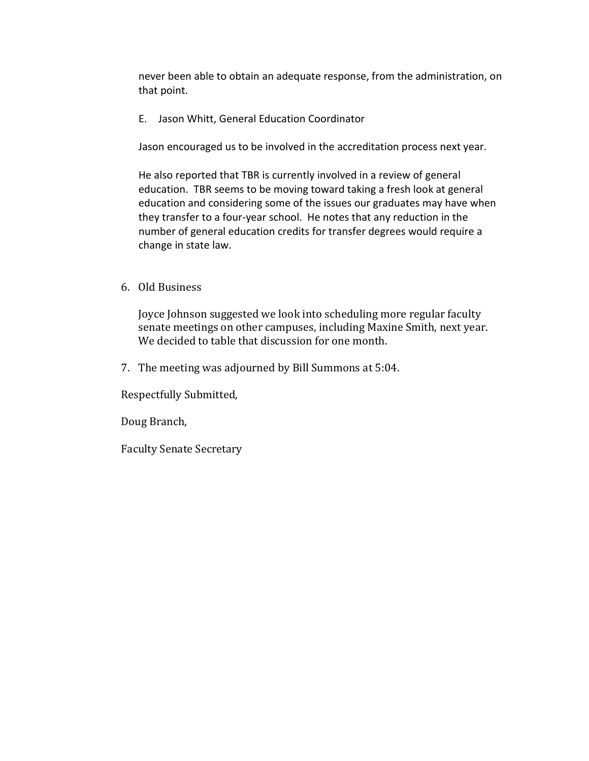never been able to obtain an adequate response, from the administration, on that point.

E. Jason Whitt, General Education Coordinator

Jason encouraged us to be involved in the accreditation process next year.

He also reported that TBR is currently involved in a review of general education. TBR seems to be moving toward taking a fresh look at general education and considering some of the issues our graduates may have when they transfer to a four-year school. He notes that any reduction in the number of general education credits for transfer degrees would require a change in state law.

6. Old Business

Joyce Johnson suggested we look into scheduling more regular faculty senate meetings on other campuses, including Maxine Smith, next year. We decided to table that discussion for one month.

7. The meeting was adjourned by Bill Summons at 5:04.

Respectfully Submitted,

Doug Branch,

Faculty Senate Secretary